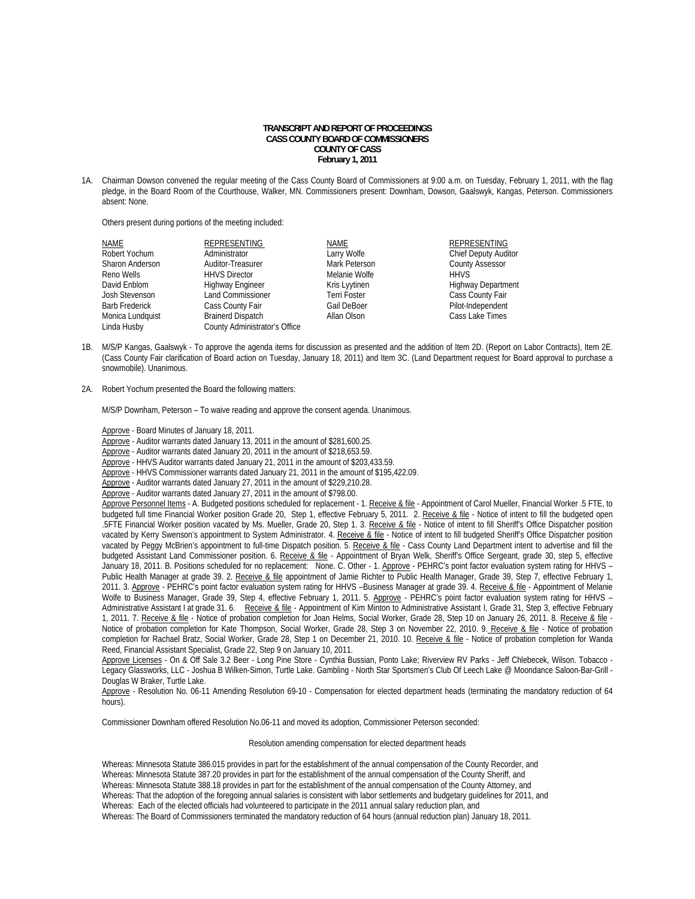## **TRANSCRIPT AND REPORT OF PROCEEDINGS CASS COUNTY BOARD OF COMMISSIONERS COUNTY OF CASS February 1, 2011**

1A. Chairman Dowson convened the regular meeting of the Cass County Board of Commissioners at 9:00 a.m. on Tuesday, February 1, 2011, with the flag pledge, in the Board Room of the Courthouse, Walker, MN. Commissioners present: Downham, Dowson, Gaalswyk, Kangas, Peterson. Commissioners absent: None.

Others present during portions of the meeting included:

| NAME                  | <b>REPRESENTING</b>           | NAME          | <b>REPRESENTING</b>         |
|-----------------------|-------------------------------|---------------|-----------------------------|
| Robert Yochum         | Administrator                 | Larry Wolfe   | <b>Chief Deputy Auditor</b> |
| Sharon Anderson       | Auditor-Treasurer             | Mark Peterson | <b>County Assessor</b>      |
| Reno Wells            | <b>HHVS Director</b>          | Melanie Wolfe | <b>HHVS</b>                 |
| David Enblom          | Highway Engineer              | Kris Lyytinen | <b>Highway Department</b>   |
| Josh Stevenson        | <b>Land Commissioner</b>      | Terri Foster  | Cass County Fair            |
| <b>Barb Frederick</b> | Cass County Fair              | Gail DeBoer   | Pilot-Independent           |
| Monica Lundquist      | <b>Brainerd Dispatch</b>      | Allan Olson   | Cass Lake Times             |
| Linda Husby           | County Administrator's Office |               |                             |

- 1B. M/S/P Kangas, Gaalswyk To approve the agenda items for discussion as presented and the addition of Item 2D. (Report on Labor Contracts), Item 2E. (Cass County Fair clarification of Board action on Tuesday, January 18, 2011) and Item 3C. (Land Department request for Board approval to purchase a snowmobile). Unanimous.
- 2A. Robert Yochum presented the Board the following matters:

M/S/P Downham, Peterson – To waive reading and approve the consent agenda. Unanimous.

- Approve Board Minutes of January 18, 2011.
- Approve Auditor warrants dated January 13, 2011 in the amount of \$281,600.25.
- Approve Auditor warrants dated January 20, 2011 in the amount of \$218,653.59.
- Approve HHVS Auditor warrants dated January 21, 2011 in the amount of \$203,433.59.
- Approve HHVS Commissioner warrants dated January 21, 2011 in the amount of \$195,422.09.
- Approve Auditor warrants dated January 27, 2011 in the amount of \$229,210.28.
- Approve Auditor warrants dated January 27, 2011 in the amount of \$798.00.

Approve Personnel Items - A. Budgeted positions scheduled for replacement - 1. Receive & file - Appointment of Carol Mueller, Financial Worker .5 FTE, to budgeted full time Financial Worker position Grade 20, Step 1, effective February 5, 2011.2. Receive & file - Notice of intent to fill the budgeted open .5FTE Financial Worker position vacated by Ms. Mueller, Grade 20, Step 1. 3. Receive & file - Notice of intent to fill Sheriff's Office Dispatcher position vacated by Kerry Swenson's appointment to System Administrator. 4. Receive & file - Notice of intent to fill budgeted Sheriff's Office Dispatcher position vacated by Peggy McBrien's appointment to full-time Dispatch position. 5. Receive & file - Cass County Land Department intent to advertise and fill the budgeted Assistant Land Commissioner position. 6. Receive & file - Appointment of Bryan Welk, Sheriff's Office Sergeant, grade 30, step 5, effective January 18, 2011. B. Positions scheduled for no replacement: None. C. Other - 1. Approve - PEHRC's point factor evaluation system rating for HHVS -Public Health Manager at grade 39. 2. Receive & file appointment of Jamie Richter to Public Health Manager, Grade 39, Step 7, effective February 1, 2011. 3. Approve - PEHRC's point factor evaluation system rating for HHVS -Business Manager at grade 39. 4. Receive & file - Appointment of Melanie Wolfe to Business Manager, Grade 39, Step 4, effective February 1, 2011. 5. Approve - PEHRC's point factor evaluation system rating for HHVS -Administrative Assistant I at grade 31. 6. Receive & file - Appointment of Kim Minton to Administrative Assistant I, Grade 31, Step 3, effective February 1, 2011. 7. Receive & file - Notice of probation completion for Joan Helms, Social Worker, Grade 28, Step 10 on January 26, 2011. 8. Receive & file -Notice of probation completion for Kate Thompson, Social Worker, Grade 28, Step 3 on November 22, 2010. 9. Receive & file - Notice of probation completion for Rachael Bratz, Social Worker, Grade 28, Step 1 on December 21, 2010. 10. Receive & file - Notice of probation completion for Wanda Reed, Financial Assistant Specialist, Grade 22, Step 9 on January 10, 2011.

Approve Licenses - On & Off Sale 3.2 Beer - Long Pine Store - Cynthia Bussian, Ponto Lake; Riverview RV Parks - Jeff Chlebecek, Wilson. Tobacco -Legacy Glassworks, LLC - Joshua B Wilken-Simon, Turtle Lake. Gambling - North Star Sportsmen's Club Of Leech Lake @ Moondance Saloon-Bar-Grill - Douglas W Braker, Turtle Lake.

Approve - Resolution No. 06-11 Amending Resolution 69-10 - Compensation for elected department heads (terminating the mandatory reduction of 64 hours).

Commissioner Downham offered Resolution No.06-11 and moved its adoption, Commissioner Peterson seconded:

## Resolution amending compensation for elected department heads

Whereas: Minnesota Statute 386.015 provides in part for the establishment of the annual compensation of the County Recorder, and Whereas: Minnesota Statute 387.20 provides in part for the establishment of the annual compensation of the County Sheriff, and Whereas: Minnesota Statute 388.18 provides in part for the establishment of the annual compensation of the County Attorney, and Whereas: That the adoption of the foregoing annual salaries is consistent with labor settlements and budgetary guidelines for 2011, and Whereas: Each of the elected officials had volunteered to participate in the 2011 annual salary reduction plan, and Whereas: The Board of Commissioners terminated the mandatory reduction of 64 hours (annual reduction plan) January 18, 2011.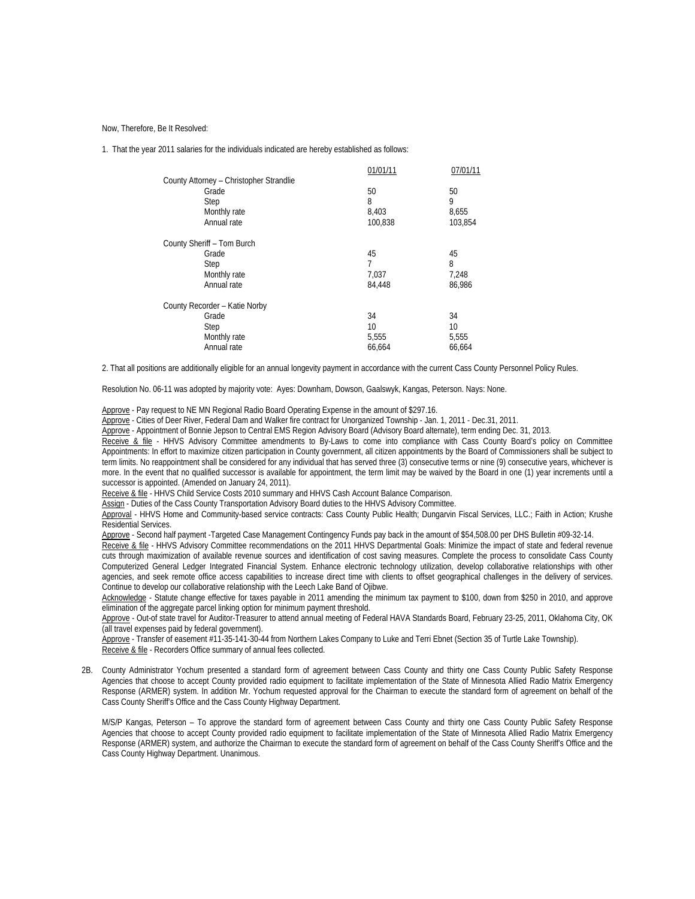Now, Therefore, Be It Resolved:

1. That the year 2011 salaries for the individuals indicated are hereby established as follows:

|                                         | 01/01/11 | 07/01/11 |
|-----------------------------------------|----------|----------|
| County Attorney - Christopher Strandlie |          |          |
| Grade                                   | 50       | 50       |
| Step                                    | 8        | 9        |
| Monthly rate                            | 8,403    | 8,655    |
| Annual rate                             | 100,838  | 103,854  |
| County Sheriff - Tom Burch              |          |          |
| Grade                                   | 45       | 45       |
| Step                                    | 7        | 8        |
| Monthly rate                            | 7,037    | 7,248    |
| Annual rate                             | 84,448   | 86,986   |
| County Recorder - Katie Norby           |          |          |
| Grade                                   | 34       | 34       |
| Step                                    | 10       | 10       |
| Monthly rate                            | 5,555    | 5,555    |
| Annual rate                             | 66,664   | 66,664   |
|                                         |          |          |

2. That all positions are additionally eligible for an annual longevity payment in accordance with the current Cass County Personnel Policy Rules.

Resolution No. 06-11 was adopted by majority vote: Ayes: Downham, Dowson, Gaalswyk, Kangas, Peterson. Nays: None.

Approve - Pay request to NE MN Regional Radio Board Operating Expense in the amount of \$297.16.

Approve - Cities of Deer River, Federal Dam and Walker fire contract for Unorganized Township - Jan. 1, 2011 - Dec.31, 2011.

Approve - Appointment of Bonnie Jepson to Central EMS Region Advisory Board (Advisory Board alternate), term ending Dec. 31, 2013.

Receive & file - HHVS Advisory Committee amendments to By-Laws to come into compliance with Cass County Board's policy on Committee Appointments: In effort to maximize citizen participation in County government, all citizen appointments by the Board of Commissioners shall be subject to term limits. No reappointment shall be considered for any individual that has served three (3) consecutive terms or nine (9) consecutive years, whichever is more. In the event that no qualified successor is available for appointment, the term limit may be waived by the Board in one (1) year increments until a successor is appointed. (Amended on January 24, 2011).

Receive & file - HHVS Child Service Costs 2010 summary and HHVS Cash Account Balance Comparison.

Assign - Duties of the Cass County Transportation Advisory Board duties to the HHVS Advisory Committee.

Approval - HHVS Home and Community-based service contracts: Cass County Public Health; Dungarvin Fiscal Services, LLC.; Faith in Action; Krushe Residential Services.

Approve - Second half payment -Targeted Case Management Contingency Funds pay back in the amount of \$54,508.00 per DHS Bulletin #09-32-14.

Receive & file - HHVS Advisory Committee recommendations on the 2011 HHVS Departmental Goals: Minimize the impact of state and federal revenue cuts through maximization of available revenue sources and identification of cost saving measures. Complete the process to consolidate Cass County Computerized General Ledger Integrated Financial System. Enhance electronic technology utilization, develop collaborative relationships with other agencies, and seek remote office access capabilities to increase direct time with clients to offset geographical challenges in the delivery of services. Continue to develop our collaborative relationship with the Leech Lake Band of Ojibwe.

Acknowledge - Statute change effective for taxes payable in 2011 amending the minimum tax payment to \$100, down from \$250 in 2010, and approve elimination of the aggregate parcel linking option for minimum payment threshold.

Approve - Out-of state travel for Auditor-Treasurer to attend annual meeting of Federal HAVA Standards Board, February 23-25, 2011, Oklahoma City, OK (all travel expenses paid by federal government).

Approve - Transfer of easement #11-35-141-30-44 from Northern Lakes Company to Luke and Terri Ebnet (Section 35 of Turtle Lake Township). Receive & file - Recorders Office summary of annual fees collected.

2B. County Administrator Yochum presented a standard form of agreement between Cass County and thirty one Cass County Public Safety Response Agencies that choose to accept County provided radio equipment to facilitate implementation of the State of Minnesota Allied Radio Matrix Emergency Response (ARMER) system. In addition Mr. Yochum requested approval for the Chairman to execute the standard form of agreement on behalf of the Cass County Sheriff's Office and the Cass County Highway Department.

 M/S/P Kangas, Peterson – To approve the standard form of agreement between Cass County and thirty one Cass County Public Safety Response Agencies that choose to accept County provided radio equipment to facilitate implementation of the State of Minnesota Allied Radio Matrix Emergency Response (ARMER) system, and authorize the Chairman to execute the standard form of agreement on behalf of the Cass County Sheriff's Office and the Cass County Highway Department. Unanimous.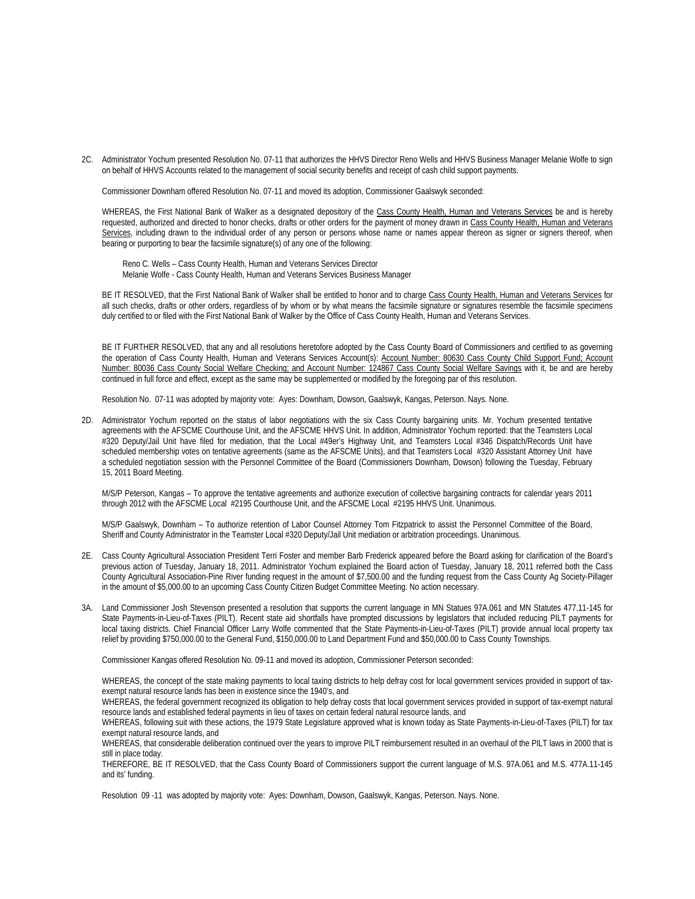2C. Administrator Yochum presented Resolution No. 07-11 that authorizes the HHVS Director Reno Wells and HHVS Business Manager Melanie Wolfe to sign on behalf of HHVS Accounts related to the management of social security benefits and receipt of cash child support payments.

Commissioner Downham offered Resolution No. 07-11 and moved its adoption, Commissioner Gaalswyk seconded:

WHEREAS, the First National Bank of Walker as a designated depository of the Cass County Health, Human and Veterans Services be and is hereby requested, authorized and directed to honor checks, drafts or other orders for the payment of money drawn in Cass County Health, Human and Veterans Services, including drawn to the individual order of any person or persons whose name or names appear thereon as signer or signers thereof, when bearing or purporting to bear the facsimile signature(s) of any one of the following:

 Reno C. Wells – Cass County Health, Human and Veterans Services Director Melanie Wolfe - Cass County Health, Human and Veterans Services Business Manager

BE IT RESOLVED, that the First National Bank of Walker shall be entitled to honor and to charge Cass County Health, Human and Veterans Services for all such checks, drafts or other orders, regardless of by whom or by what means the facsimile signature or signatures resemble the facsimile specimens duly certified to or filed with the First National Bank of Walker by the Office of Cass County Health, Human and Veterans Services.

BE IT FURTHER RESOLVED, that any and all resolutions heretofore adopted by the Cass County Board of Commissioners and certified to as governing the operation of Cass County Health, Human and Veterans Services Account(s): Account Number: 80630 Cass County Child Support Fund; Account Number: 80036 Cass County Social Welfare Checking; and Account Number: 124867 Cass County Social Welfare Savings with it, be and are hereby continued in full force and effect, except as the same may be supplemented or modified by the foregoing par of this resolution.

Resolution No. 07-11 was adopted by majority vote: Ayes: Downham, Dowson, Gaalswyk, Kangas, Peterson. Nays. None.

2D. Administrator Yochum reported on the status of labor negotiations with the six Cass County bargaining units. Mr. Yochum presented tentative agreements with the AFSCME Courthouse Unit, and the AFSCME HHVS Unit. In addition, Administrator Yochum reported: that the Teamsters Local #320 Deputy/Jail Unit have filed for mediation, that the Local #49er's Highway Unit, and Teamsters Local #346 Dispatch/Records Unit have scheduled membership votes on tentative agreements (same as the AFSCME Units), and that Teamsters Local #320 Assistant Attorney Unit have a scheduled negotiation session with the Personnel Committee of the Board (Commissioners Downham, Dowson) following the Tuesday, February 15, 2011 Board Meeting.

 M/S/P Peterson, Kangas – To approve the tentative agreements and authorize execution of collective bargaining contracts for calendar years 2011 through 2012 with the AFSCME Local #2195 Courthouse Unit, and the AFSCME Local #2195 HHVS Unit. Unanimous.

 M/S/P Gaalswyk, Downham – To authorize retention of Labor Counsel Attorney Tom Fitzpatrick to assist the Personnel Committee of the Board, Sheriff and County Administrator in the Teamster Local #320 Deputy/Jail Unit mediation or arbitration proceedings. Unanimous.

- 2E. Cass County Agricultural Association President Terri Foster and member Barb Frederick appeared before the Board asking for clarification of the Board's previous action of Tuesday, January 18, 2011. Administrator Yochum explained the Board action of Tuesday, January 18, 2011 referred both the Cass County Agricultural Association-Pine River funding request in the amount of \$7,500.00 and the funding request from the Cass County Ag Society-Pillager in the amount of \$5,000.00 to an upcoming Cass County Citizen Budget Committee Meeting. No action necessary.
- 3A. Land Commissioner Josh Stevenson presented a resolution that supports the current language in MN Statues 97A.061 and MN Statutes 477.11-145 for State Payments-in-Lieu-of-Taxes (PILT). Recent state aid shortfalls have prompted discussions by legislators that included reducing PILT payments for local taxing districts. Chief Financial Officer Larry Wolfe commented that the State Payments-in-Lieu-of-Taxes (PILT) provide annual local property tax relief by providing \$750,000.00 to the General Fund, \$150,000.00 to Land Department Fund and \$50,000.00 to Cass County Townships.

Commissioner Kangas offered Resolution No. 09-11 and moved its adoption, Commissioner Peterson seconded:

WHEREAS, the concept of the state making payments to local taxing districts to help defray cost for local government services provided in support of taxexempt natural resource lands has been in existence since the 1940's, and

WHEREAS, the federal government recognized its obligation to help defray costs that local government services provided in support of tax-exempt natural resource lands and established federal payments in lieu of taxes on certain federal natural resource lands, and

WHEREAS, following suit with these actions, the 1979 State Legislature approved what is known today as State Payments-in-Lieu-of-Taxes (PILT) for tax exempt natural resource lands, and

WHEREAS, that considerable deliberation continued over the years to improve PILT reimbursement resulted in an overhaul of the PILT laws in 2000 that is still in place today.

THEREFORE, BE IT RESOLVED, that the Cass County Board of Commissioners support the current language of M.S. 97A.061 and M.S. 477A.11-145 and its' funding.

Resolution 09 -11 was adopted by majority vote: Ayes: Downham, Dowson, Gaalswyk, Kangas, Peterson. Nays. None.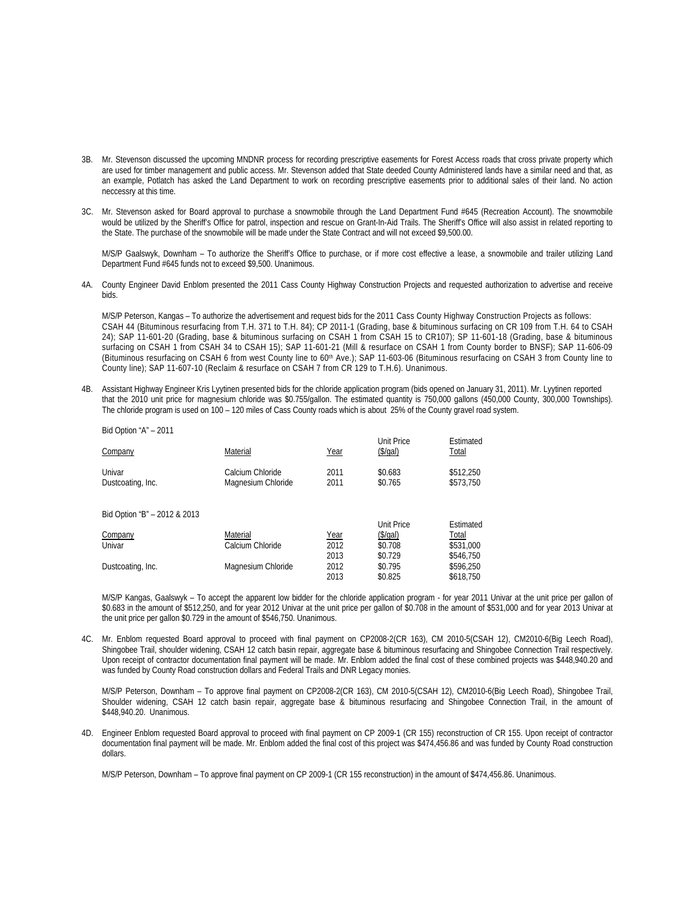- 3B. Mr. Stevenson discussed the upcoming MNDNR process for recording prescriptive easements for Forest Access roads that cross private property which are used for timber management and public access. Mr. Stevenson added that State deeded County Administered lands have a similar need and that, as an example, Potlatch has asked the Land Department to work on recording prescriptive easements prior to additional sales of their land. No action neccessry at this time.
- 3C. Mr. Stevenson asked for Board approval to purchase a snowmobile through the Land Department Fund #645 (Recreation Account). The snowmobile would be utilized by the Sheriff's Office for patrol, inspection and rescue on Grant-In-Aid Trails. The Sheriff's Office will also assist in related reporting to the State. The purchase of the snowmobile will be made under the State Contract and will not exceed \$9,500.00.

M/S/P Gaalswyk, Downham – To authorize the Sheriff's Office to purchase, or if more cost effective a lease, a snowmobile and trailer utilizing Land Department Fund #645 funds not to exceed \$9,500. Unanimous.

4A. County Engineer David Enblom presented the 2011 Cass County Highway Construction Projects and requested authorization to advertise and receive bids.

M/S/P Peterson, Kangas – To authorize the advertisement and request bids for the 2011 Cass County Highway Construction Projects as follows: CSAH 44 (Bituminous resurfacing from T.H. 371 to T.H. 84); CP 2011-1 (Grading, base & bituminous surfacing on CR 109 from T.H. 64 to CSAH 24); SAP 11-601-20 (Grading, base & bituminous surfacing on CSAH 1 from CSAH 15 to CR107); SP 11-601-18 (Grading, base & bituminous surfacing on CSAH 1 from CSAH 34 to CSAH 15); SAP 11-601-21 (Mill & resurface on CSAH 1 from County border to BNSF); SAP 11-606-09 (Bituminous resurfacing on CSAH 6 from west County line to 60th Ave.); SAP 11-603-06 (Bituminous resurfacing on CSAH 3 from County line to County line); SAP 11-607-10 (Reclaim & resurface on CSAH 7 from CR 129 to T.H.6). Unanimous.

4B. Assistant Highway Engineer Kris Lyytinen presented bids for the chloride application program (bids opened on January 31, 2011). Mr. Lyytinen reported that the 2010 unit price for magnesium chloride was \$0.755/gallon. The estimated quantity is 750,000 gallons (450,000 County, 300,000 Townships). The chloride program is used on 100 – 120 miles of Cass County roads which is about 25% of the County gravel road system.

| $D\cup D\cup D\cup D$ $\cap$ $D = 2011$ |                                        |              | <b>Unit Price</b>  | Estimated              |
|-----------------------------------------|----------------------------------------|--------------|--------------------|------------------------|
| Company                                 | Material                               | Year         | \$/qal)            | <b>Total</b>           |
| Univar<br>Dustcoating, Inc.             | Calcium Chloride<br>Magnesium Chloride | 2011<br>2011 | \$0.683<br>\$0.765 | \$512,250<br>\$573,750 |
| Bid Option "B" - 2012 & 2013            |                                        |              |                    |                        |
|                                         |                                        |              | <b>Unit Price</b>  | Estimated              |
| Company                                 | Material                               | Year         | $$$ /gal)          | Total                  |
| Univar                                  | Calcium Chloride                       | 2012         | \$0.708            | \$531,000              |
|                                         |                                        | 2013         | \$0.729            | \$546.750              |
| Dustcoating, Inc.                       | Magnesium Chloride                     | 2012         | \$0.795            | \$596,250              |
|                                         |                                        | 2013         | \$0.825            | \$618,750              |

 $Did$  Option " $A''$  – 2011

M/S/P Kangas, Gaalswyk – To accept the apparent low bidder for the chloride application program - for year 2011 Univar at the unit price per gallon of \$0.683 in the amount of \$512,250, and for year 2012 Univar at the unit price per gallon of \$0.708 in the amount of \$531,000 and for year 2013 Univar at the unit price per gallon \$0.729 in the amount of \$546,750. Unanimous.

4C. Mr. Enblom requested Board approval to proceed with final payment on CP2008-2(CR 163), CM 2010-5(CSAH 12), CM2010-6(Big Leech Road), Shingobee Trail, shoulder widening, CSAH 12 catch basin repair, aggregate base & bituminous resurfacing and Shingobee Connection Trail respectively. Upon receipt of contractor documentation final payment will be made. Mr. Enblom added the final cost of these combined projects was \$448,940.20 and was funded by County Road construction dollars and Federal Trails and DNR Legacy monies.

 M/S/P Peterson, Downham – To approve final payment on CP2008-2(CR 163), CM 2010-5(CSAH 12), CM2010-6(Big Leech Road), Shingobee Trail, Shoulder widening, CSAH 12 catch basin repair, aggregate base & bituminous resurfacing and Shingobee Connection Trail, in the amount of \$448,940.20. Unanimous.

4D. Engineer Enblom requested Board approval to proceed with final payment on CP 2009-1 (CR 155) reconstruction of CR 155. Upon receipt of contractor documentation final payment will be made. Mr. Enblom added the final cost of this project was \$474,456.86 and was funded by County Road construction dollars.

M/S/P Peterson, Downham – To approve final payment on CP 2009-1 (CR 155 reconstruction) in the amount of \$474,456.86. Unanimous.